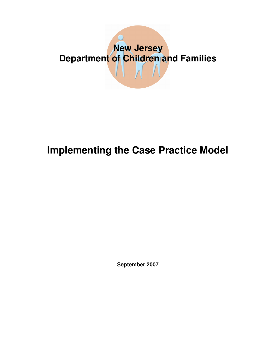# **New Jersey Department of Children and Families**  $\bigwedge \bigwedge$

## **Implementing the Case Practice Model**

**September 2007**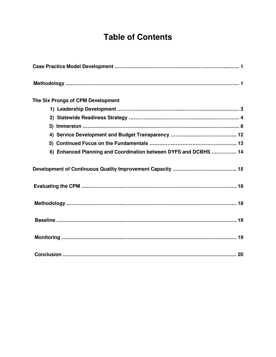### **Table of Contents**

| The Six Prongs of CPM Development                                |
|------------------------------------------------------------------|
|                                                                  |
|                                                                  |
|                                                                  |
|                                                                  |
|                                                                  |
| 6) Enhanced Planning and Coordination between DYFS and DCBHS  14 |
|                                                                  |
|                                                                  |
|                                                                  |
|                                                                  |
|                                                                  |
|                                                                  |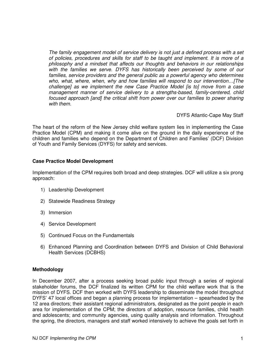*The family engagement model of service delivery is not just a defined process with a set of policies, procedures and skills for staff to be taught and implement. It is more of a philosophy and a mindset that affects our thoughts and behaviors in our relationships with the families we serve. DYFS has historically been perceived by some of our families, service providers and the general public as a powerful agency who determines who, what, where, when, why and how families will respond to our intervention…[The challenge] as we implement the new Case Practice Model [is to] move from a case management manner of service delivery to a strengths-based, family-centered, child focused approach [and] the critical shift from power over our families to power sharing with them.*

DYFS Atlantic-Cape May Staff

The heart of the reform of the New Jersey child welfare system lies in implementing the Case Practice Model (CPM) and making it come alive on the ground in the daily experience of the children and families who depend on the Department of Children and Families' (DCF) Division of Youth and Family Services (DYFS) for safety and services.

#### **Case Practice Model Development**

Implementation of the CPM requires both broad and deep strategies. DCF will utilize a six prong approach:

- 1) Leadership Development
- 2) Statewide Readiness Strategy
- 3) Immersion
- 4) Service Development
- 5) Continued Focus on the Fundamentals
- 6) Enhanced Planning and Coordination between DYFS and Division of Child Behavioral Health Services (DCBHS)

#### **Methodology**

In December 2007, after a process seeking broad public input through a series of regional stakeholder forums, the DCF finalized its written CPM for the child welfare work that is the mission of DYFS. DCF then worked with DYFS leadership to disseminate the model throughout DYFS' 47 local offices and began a planning process for implementation – spearheaded by the 12 area directors; their assistant regional administrators, designated as the point people in each area for implementation of the CPM; the directors of adoption, resource families, child health and adolescents; and community agencies, using quality analysis and information. Throughout the spring, the directors, managers and staff worked intensively to achieve the goals set forth in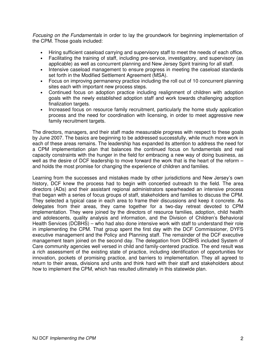*Focusing on the Fundamentals* in order to lay the groundwork for beginning implementation of the CPM. Those goals included:

- Hiring sufficient caseload carrying and supervisory staff to meet the needs of each office.
- Facilitating the training of staff, including pre-service, investigatory, and supervisory (as applicable) as well as concurrent planning and New Jersey Spirit training for all staff.
- Intensive caseload management to ensure progress in meeting the caseload standards set forth in the Modified Settlement Agreement (MSA).
- Focus on improving permanency practice including the roll out of 10 concurrent planning sites each with important new process steps.
- Continued focus on adoption practice including realignment of children with adoption goals with the newly established adoption staff and work towards challenging adoption finalization targets.
- Increased focus on resource family recruitment, particularly the home study application process and the need for coordination with licensing, in order to meet aggressive new family recruitment targets.

The directors, managers, and their staff made measurable progress with respect to these goals by June 2007. The basics are beginning to be addressed successfully, while much more work in each of these areas remains. The leadership has expanded its attention to address the need for a CPM implementation plan that balances the continued focus on fundamentals and real capacity constraints with the hunger in the field for embracing a new way of doing business, as well as the desire of DCF leadership to move forward the work that is the heart of the reform – and holds the most promise for changing the experience of children and families.

Learning from the successes and mistakes made by other jurisdictions and New Jersey's own history, DCF knew the process had to begin with concerted outreach to the field. The area directors (ADs) and their assistant regional administrators spearheaded an intensive process that began with a series of focus groups of staff, stakeholders and families to discuss the CPM. They selected a typical case in each area to frame their discussions and keep it concrete. As delegates from their areas, they came together for a two-day retreat devoted to CPM implementation. They were joined by the directors of resource families, adoption, child health and adolescents, quality analysis and information, and the Division of Children's Behavioral Health Services (DCBHS) – who had also done intensive work with staff to understand their role in implementing the CPM. That group spent the first day with the DCF Commissioner, DYFS executive management and the Policy and Planning staff. The remainder of the DCF executive management team joined on the second day. The delegation from DCBHS included System of Care community agencies well versed in child and family-centered practice. The end result was a rich assessment of the existing state of practice, including identification of opportunities for innovation, pockets of promising practice, and barriers to implementation. They all agreed to return to their areas, divisions and units and think hard with their staff and stakeholders about how to implement the CPM, which has resulted ultimately in this statewide plan.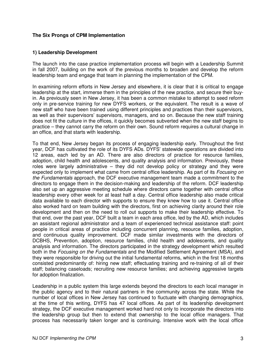#### **The Six Prongs of CPM Implementation**

#### **1) Leadership Development**

The launch into the case practice implementation process will begin with a Leadership Summit in fall 2007, building on the work of the previous months to broaden and develop the reform leadership team and engage that team in planning the implementation of the CPM.

In examining reform efforts in New Jersey and elsewhere, it is clear that it is critical to engage leadership at the start, immerse them in the principles of the new practice, and secure their buyin. As previously seen in New Jersey, it has been a common mistake to attempt to seed reform only in pre-service training for new DYFS workers, or the equivalent. The result is a wave of new staff who have been trained using different principles and practices than their supervisors, as well as their supervisors' supervisors, managers, and so on. Because the new staff training does not fit the culture in the offices, it quickly becomes subverted when the new staff begins to practice – they cannot carry the reform on their own. Sound reform requires a cultural change in an office, and that starts with leadership.

To that end, New Jersey began its process of engaging leadership early. Throughout the first year, DCF has cultivated the role of its DYFS ADs. DYFS' statewide operations are divided into 12 areas, each led by an AD. There are also directors of practice for resource families, adoption, child health and adolescents, and quality analysis and information. Previously, these roles were largely administrative – they did not develop policy or strategy and they were expected only to implement what came from central office leadership. As part of its *Focusing on the Fundamentals* approach, the DCF executive management team made a commitment to the directors to engage them in the decision-making and leadership of the reform. DCF leadership also set up an aggressive meeting schedule where directors came together with central office leadership every other week for at least half a day. Central office leadership also made critical data available to each director with supports to ensure they knew how to use it. Central office also worked hard on team building with the directors, first on achieving clarity around their role development and then on the need to roll out supports to make their leadership effective. To that end, over the past year, DCF built a team in each area office, led by the AD, which includes an assistant regional administrator and a team of experienced technical assistance staff: point people in critical areas of practice including concurrent planning, resource families, adoption, and continuous quality improvement. DCF made similar investments with the directors of DCBHS, Prevention, adoption, resource families, child health and adolescents, and quality analysis and information. The directors participated in the strategy development which resulted both in the *Focusing on the Fundamentals* and the Modified Settlement Agreement (MSA), and they were responsible for driving out the initial fundamental reforms, which in the first 18 months consisted predominantly of: hiring new staff; effectuating training and re-training of all of their staff; balancing caseloads; recruiting new resource families; and achieving aggressive targets for adoption finalization.

Leadership in a public system this large extends beyond the directors to each local manager in the public agency and to their natural partners in the community across the state. While the number of local offices in New Jersey has continued to fluctuate with changing demographics, at the time of this writing, DYFS has 47 local offices. As part of its leadership development strategy, the DCF executive management worked hard not only to incorporate the directors into the leadership group but then to extend that ownership to the local office managers. That process has necessarily taken longer and is continuing. Intensive work with the local office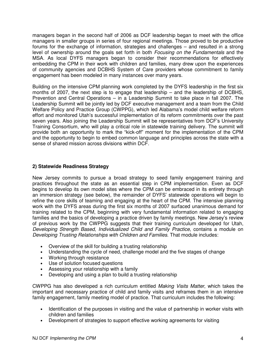managers began in the second half of 2006 as DCF leadership began to meet with the office managers in smaller groups in series of four regional meetings. Those proved to be productive forums for the exchange of information, strategies and challenges – and resulted in a strong level of ownership around the goals set forth in both *Focusing on the Fundamentals* and the MSA. As local DYFS managers began to consider their recommendations for effectively embedding the CPM in their work with children and families, many drew upon the experiences of community agencies and DCBHS System of Care providers whose commitment to family engagement has been modeled in many instances over many years.

Building on the intensive CPM planning work completed by the DYFS leadership in the first six months of 2007, the next step is to engage that leadership – and the leadership of DCBHS, Prevention and Central Operations – in a Leadership Summit to take place in fall 2007. The Leadership Summit will be jointly led by DCF executive management and a team from the Child Welfare Policy and Practice Group (CWPPG), which led Alabama's model child welfare reform effort and monitored Utah's successful implementation of its reform commitments over the past seven years. Also joining the Leadership Summit will be representatives from DCF's University Training Consortium, who will play a critical role in statewide training delivery. The summit will provide both an opportunity to mark the "kick-off" moment for the implementation of the CPM and the opportunity to begin to embed common language and principles across the state with a sense of shared mission across divisions within DCF.

#### **2) Statewide Readiness Strategy**

New Jersey commits to pursue a broad strategy to seed family engagement training and practices throughout the state as an essential step in CPM implementation. Even as DCF begins to develop its own model sites where the CPM can be embraced in its entirety through an immersion strategy (see below), the remainder of DYFS' statewide operations will begin to refine the core skills of teaming and engaging at the heart of the CPM. The intensive planning work with the DYFS areas during the first six months of 2007 surfaced unanimous demand for training related to the CPM, beginning with very fundamental information related to engaging families and the basics of developing a practice driven by family meetings. New Jersey's review of previous work by the CWPPG suggests that their training curriculum developed for Utah, *Developing Strength Based, Individualized Child and Family Practice*, contains a module on *Developing Trusting Relationships with Children and Families*. That module includes:

- Overview of the skill for building a trusting relationship
- Understanding the cycle of need, challenge model and the five stages of change
- Working through resistance
- Use of solution focused questions
- Assessing your relationship with a family
- Developing and using a plan to build a trusting relationship

CWPPG has also developed a rich curriculum entitled *Making Visits Matter*, which takes the important and necessary practice of child and family visits and reframes them in an intensive family engagement, family meeting model of practice. That curriculum includes the following:

- Identification of the purposes in visiting and the value of partnership in worker visits with children and families
- Development of strategies to support effective working agreements for visiting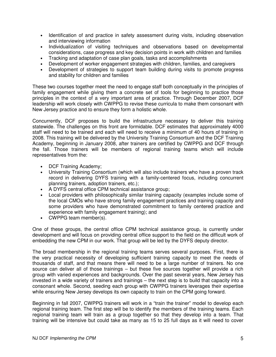- Identification of and practice in safety assessment during visits, including observation and interviewing information
- Individualization of visiting techniques and observations based on developmental considerations, case progress and key decision points in work with children and families
- Tracking and adaptation of case plan goals, tasks and accomplishments
- Development of worker engagement strategies with children, families, and caregivers
- Development of strategies to support team building during visits to promote progress and stability for children and families

These two courses together meet the need to engage staff both conceptually in the principles of family engagement while giving them a concrete set of tools for beginning to practice those principles in the context of a very important area of practice. Through December 2007, DCF leadership will work closely with CWPPG to revise these curricula to make them consonant with New Jersey practice and to ensure they form a holistic whole.

Concurrently, DCF proposes to build the infrastructure necessary to deliver this training statewide. The challenges on this front are formidable. DCF estimates that approximately 4000 staff will need to be trained and each will need to receive a minimum of 40 hours of training in 2008. This training will be delivered by the University Training Consortium and the DCF Training Academy, beginning in January 2008, after trainers are certified by CWPPG and DCF through the fall. Those trainers will be members of regional training teams which will include representatives from the:

- DCF Training Academy;
- University Training Consortium (which will also include trainers who have a proven track record in delivering DYFS training with a family-centered focus, including concurrent planning trainers, adoption trainers, etc.);
- A DYFS central office CPM technical assistance group;
- Local providers with philosophically similar training capacity (examples include some of the local CMOs who have strong family engagement practices and training capacity and some providers who have demonstrated commitment to family centered practice and experience with family engagement training); and
- CWPPG team member(s).

One of these groups, the central office CPM technical assistance group, is currently under development and will focus on providing central office support to the field on the difficult work of embedding the new CPM in our work. That group will be led by the DYFS deputy director.

The broad membership in the regional training teams serves several purposes. First, there is the very practical necessity of developing sufficient training capacity to meet the needs of thousands of staff, and that means there will need to be a large number of trainers. No one source can deliver all of those trainings – but these five sources together will provide a rich group with varied experiences and backgrounds. Over the past several years, New Jersey has invested in a wide variety of trainers and trainings – the next step is to build that capacity into a consonant whole. Second, seeding each group with CWPPG trainers leverages their expertise while ensuring New Jersey develops its own capacity to train on the CPM going forward.

Beginning in fall 2007, CWPPG trainers will work in a "train the trainer" model to develop each regional training team. The first step will be to identify the members of the training teams. Each regional training team will train as a group together so that they develop into a team. That training will be intensive but could take as many as 15 to 25 full days as it will need to cover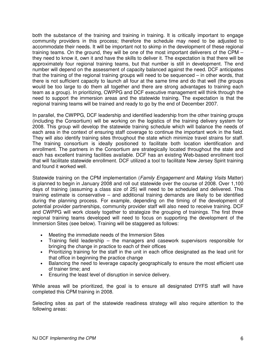both the substance of the training and training in training. It is critically important to engage community providers in this process; therefore the schedule may need to be adjusted to accommodate their needs. It will be important not to skimp in the development of these regional training teams. On the ground, they will be one of the most important deliverers of the CPM – they need to know it, own it and have the skills to deliver it. The expectation is that there will be approximately four regional training teams, but that number is still in development. The end number will depend on the assessment of capacity balanced against the need. DCF anticipates that the training of the regional training groups will need to be sequenced – in other words, that there is not sufficient capacity to launch all four at the same time and do that well (the groups would be too large to do them all together and there are strong advantages to training each team as a group). In prioritizing, CWPPG and DCF executive management will think through the need to support the immersion areas and the statewide training. The expectation is that the regional training teams will be trained and ready to go by the end of December 2007.

In parallel, the CWPPG, DCF leadership and identified leadership from the other training groups (including the Consortium) will be working on the logistics of the training delivery system for 2008. This group will develop the statewide training schedule which will balance the needs of each area in the context of ensuring staff coverage to continue the important work in the field. They will also identify training sites throughout the state which minimize travel strains for staff. The training consortium is ideally positioned to facilitate both location identification and enrollment. The partners in the Consortium are strategically located throughout the state and each has excellent training facilities available. DCF has an existing Web-based enrollment tool that will facilitate statewide enrollment. DCF utilized a tool to facilitate New Jersey Spirit training and found it worked well.

Statewide training on the CPM implementation (*Family Engagement* and *Making Visits* Matter) is planned to begin in January 2008 and roll out statewide over the course of 2008. Over 1,100 days of training (assuming a class size of 25) will need to be scheduled and delivered. This training estimate is conservative – and additional training demands are likely to be identified during the planning process. For example, depending on the timing of the development of potential provider partnerships, community provider staff will also need to receive training. DCF and CWPPG will work closely together to strategize the grouping of trainings. The first three regional training teams developed will need to focus on supporting the development of the Immersion Sites (see below). Training will be staggered as follows:

- Meeting the immediate needs of the Immersion Sites
- Training field leadership the managers and casework supervisors responsible for bringing the change in practice to each of their offices
- Prioritizing training for the staff in the unit in each office designated as the lead unit for that office in beginning the practice change
- Balancing the need to leverage capacity geographically to ensure the most efficient use of trainer time; and
- Ensuring the least level of disruption in service delivery.

While areas will be prioritized, the goal is to ensure all designated DYFS staff will have completed this CPM training in 2008.

Selecting sites as part of the statewide readiness strategy will also require attention to the following areas: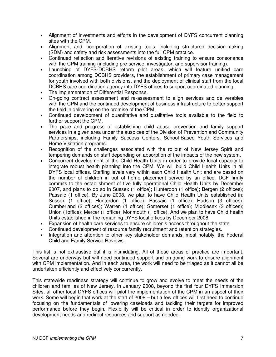- Alignment of investments and efforts in the development of DYFS concurrent planning sites with the CPM.
- Alignment and incorporation of existing tools, including structured decision-making (SDM) and safety and risk assessments into the full CPM practice.
- Continued reflection and iterative revisions of existing training to ensure consonance with the CPM training (including pre-service, investigator, and supervisor training).
- Launching of DYFS-DCBHS reform pilot areas, which will feature unified care coordination among DCBHS providers, the establishment of primary case management for youth involved with both divisions, and the deployment of clinical staff from the local DCBHS care coordination agency into DYFS offices to support coordinated planning.
- The implementation of Differential Response.
- On-going contract assessment and re-assessment to align services and deliverables with the CPM and the continued development of business infrastructure to better support the field in delivering on the promise of the CPM.
- Continued development of quantitative and qualitative tools available to the field to further support the CPM.
- The pace and progress of establishing child abuse prevention and family support services in a given area under the auspices of the Division of Prevention and Community Partnerships, including Family Success Centers, School-Based Youth Services and Home Visitation programs.
- Recognition of the challenges associated with the rollout of New Jersey Spirit and tempering demands on staff depending on absorption of the impacts of the new system.
- Concurrent development of the Child Health Units in order to provide local capacity to integrate robust health planning into the CPM. We will build Child Health Units in all DYFS local offices. Staffing levels vary within each Child Health Unit and are based on the number of children in out of home placement served by an office. DCF firmly commits to the establishment of five fully operational Child Health Units by December 2007, and plans to do so in Sussex (1 office); Hunterdon (1 office); Bergen (2 offices); Passaic (1 office). By June 2008, we plan to have Child Health Units established in: Sussex (1 office); Hunterdon (1 office); Passaic (1 office); Hudson (3 offices); Cumberland (2 offices); Warren (1 office); Somerset (1 office); Middlesex (3 offices); Union (1office); Mercer (1 office); Monmouth (1 office). And we plan to have Child health Units established in the remaining DYFS local offices by December 2008.
- Expansion of health care services to ensure children's access throughout the state.
- Continued development of resource family recruitment and retention strategies.
- Integration and attention to other key stakeholder demands, most notably, the Federal Child and Family Service Reviews.

This list is not exhaustive but it is intimidating. All of these areas of practice are important. Several are underway but will need continued support and on-going work to ensure alignment with CPM implementation. And in each area, the work will need to be triaged as it cannot all be undertaken efficiently and effectively concurrently.

This statewide readiness strategy will continue to grow and evolve to meet the needs of the children and families of New Jersey. In January 2008, beyond the first four DYFS Immersion Sites, all other local DYFS offices will pilot the implementation of the CPM in an aspect of their work. Some will begin that work at the start of 2008 – but a few offices will first need to continue focusing on the fundamentals of lowering caseloads and tackling their targets for improved performance before they begin. Flexibility will be critical in order to identify organizational development needs and redirect resources and support as needed.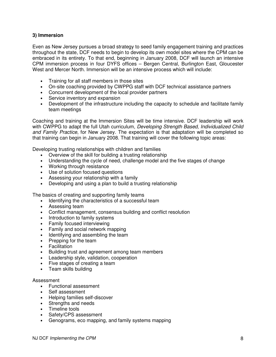#### **3) Immersion**

Even as New Jersey pursues a broad strategy to seed family engagement training and practices throughout the state, DCF needs to begin to develop its own model sites where the CPM can be embraced in its entirety. To that end, beginning in January 2008, DCF will launch an intensive CPM immersion process in four DYFS offices – Bergen Central, Burlington East, Gloucester West and Mercer North. Immersion will be an intensive process which will include:

- Training for all staff members in those sites
- On-site coaching provided by CWPPG staff with DCF technical assistance partners
- Concurrent development of the local provider partners
- Service inventory and expansion
- Development of the infrastructure including the capacity to schedule and facilitate family team meetings

Coaching and training at the Immersion Sites will be time intensive. DCF leadership will work with CWPPG to adapt the full Utah curriculum, *Developing Strength Based, Individualized Child and Family Practice*, for New Jersey. The expectation is that adaptation will be completed so that training can begin in January 2008. That training will cover the following topic areas:

Developing trusting relationships with children and families

- Overview of the skill for building a trusting relationship
- Understanding the cycle of need, challenge model and the five stages of change
- Working through resistance
- Use of solution focused questions
- Assessing your relationship with a family
- Developing and using a plan to build a trusting relationship

The basics of creating and supporting family teams

- Identifying the characteristics of a successful team
- Assessing team
- Conflict management, consensus building and conflict resolution
- Introduction to family systems
- Family focused interviewing
- Family and social network mapping
- Identifying and assembling the team
- Prepping for the team
- Facilitation
- Building trust and agreement among team members
- Leadership style, validation, cooperation
- Five stages of creating a team
- Team skills building

#### Assessment

- Functional assessment
- Self assessment
- Helping families self-discover
- Strengths and needs
- Timeline tools
- Safety/CPS assessment
- Genograms, eco mapping, and family systems mapping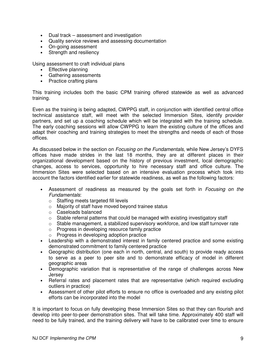- Dual track assessment and investigation
- Quality service reviews and assessing documentation
- On-going assessment
- Strength and resiliency

Using assessment to craft individual plans

- Effective planning
- Gathering assessments
- Practice crafting plans

This training includes both the basic CPM training offered statewide as well as advanced training.

Even as the training is being adapted, CWPPG staff, in conjunction with identified central office technical assistance staff, will meet with the selected Immersion Sites, identify provider partners, and set up a coaching schedule which will be integrated with the training schedule. The early coaching sessions will allow CWPPG to learn the existing culture of the offices and adapt their coaching and training strategies to meet the strengths and needs of each of those offices.

As discussed below in the section on *Focusing on the Fundamentals*, while New Jersey's DYFS offices have made strides in the last 18 months, they are at different places in their organizational development based on the history of previous investment, local demographic changes, access to services, opportunity to hire necessary staff and office culture. The Immersion Sites were selected based on an intensive evaluation process which took into account the factors identified earlier for statewide readiness, as well as the following factors:

- Assessment of readiness as measured by the goals set forth in *Focusing on the Fundamentals*:
	- o Staffing meets targeted fill levels
	- o Majority of staff have moved beyond trainee status
	- o Caseloads balanced
	- $\circ$  Stable referral patterns that could be managed with existing investigatory staff
	- o Stable management, a stabilized supervisory workforce, and low staff turnover rate
	- o Progress in developing resource family practice
	- o Progress in developing adoption practice
- Leadership with a demonstrated interest in family centered practice and some existing demonstrated commitment to family centered practice
- Geographic distribution (one each in north, central, and south) to provide ready access to serve as a peer to peer site and to demonstrate efficacy of model in different geographic areas
- Demographic variation that is representative of the range of challenges across New **Jersey**
- Referral rates and placement rates that are representative (which required excluding outliers in practice)
- Assessment of other pilot efforts to ensure no office is overloaded and any existing pilot efforts can be incorporated into the model

It is important to focus on fully developing these Immersion Sites so that they can flourish and develop into peer-to-peer demonstration sites. That will take time. Approximately 400 staff will need to be fully trained, and the training delivery will have to be calibrated over time to ensure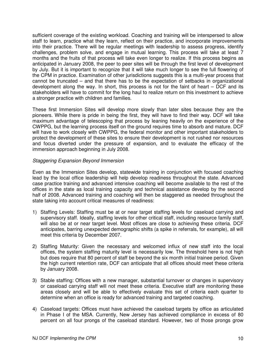sufficient coverage of the existing workload. Coaching and training will be interspersed to allow staff to learn, practice what they learn, reflect on their practice, and incorporate improvements into their practice. There will be regular meetings with leadership to assess progress, identify challenges, problem solve, and engage in mutual learning. This process will take at least 7 months and the fruits of that process will take even longer to realize. If this process begins as anticipated in January 2008, the peer to peer sites will be through the first level of development by July. But it is important to recognize that it will take much longer to see the full flowering of the CPM in practice. Examination of other jurisdictions suggests this is a multi-year process that cannot be truncated – and that there has to be the expectation of setbacks in organizational development along the way. In short, this process is not for the faint of heart – DCF and its stakeholders will have to commit for the long haul to realize return on this investment to achieve a stronger practice with children and families.

These first Immersion Sites will develop more slowly than later sites because they are the pioneers. While there is pride in being the first, they will have to find their way. DCF will take maximum advantage of telescoping that process by leaning heavily on the experience of the CWPPG, but the learning process itself on the ground requires time to absorb and mature. DCF will have to work closely with CWPPG, the federal monitor and other important stakeholders to protect the development of these sites to ensure their development is not rushed nor resources and focus diverted under the pressure of expansion, and to evaluate the efficacy of the immersion approach beginning in July 2008.

#### *Staggering Expansion Beyond Immersion*

Even as the Immersion Sites develop, statewide training in conjunction with focused coaching lead by the local office leadership will help develop readiness throughout the state. Advanced case practice training and advanced intensive coaching will become available to the rest of the offices in the state as local training capacity and technical assistance develop by the second half of 2008. Advanced training and coaching will then be staggered as needed throughout the state taking into account critical measures of readiness:

- 1) Staffing Levels: Staffing must be at or near target staffing levels for caseload carrying and supervisory staff. Ideally, staffing levels for other critical staff, including resource family staff, will also be at or near target level. Most offices are close to achieving these criteria. DCF anticipates, barring unexpected demographic shifts (a spike in referrals, for example), all will meet this criteria by December 2007.
- 2) Staffing Maturity: Given the necessary and welcomed influx of new staff into the local offices, the system staffing maturity level is necessarily low. The threshold here is not high but does require that 80 percent of staff be beyond the six month initial trainee period. Given the high current retention rate, DCF can anticipate that all offices should meet these criteria by January 2008.
- 3) Stable staffing: Offices with a new manager, substantial turnover or changes in supervisory or caseload carrying staff will not meet these criteria. Executive staff are monitoring these areas closely and will be able to effectively evaluate this set of criteria each quarter to determine when an office is ready for advanced training and targeted coaching.
- 4) Caseload targets: Offices must have achieved the caseload targets by office as articulated in Phase I of the MSA. Currently, New Jersey has achieved compliance in excess of 80 percent on all four prongs of the caseload standard. However, two of those prongs grow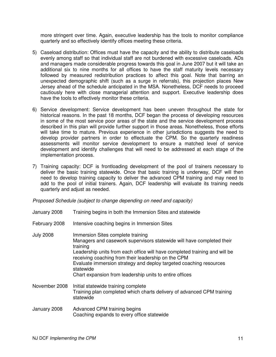more stringent over time. Again, executive leadership has the tools to monitor compliance quarterly and so effectively identify offices meeting these criteria.

- 5) Caseload distribution: Offices must have the capacity and the ability to distribute caseloads evenly among staff so that individual staff are not burdened with excessive caseloads. ADs and managers made considerable progress towards this goal in June 2007 but it will take an additional six to nine months for all offices to have the staff maturity levels necessary followed by measured redistribution practices to affect this goal. Note that barring an unexpected demographic shift (such as a surge in referrals), this projection places New Jersey ahead of the schedule anticipated in the MSA. Nonetheless, DCF needs to proceed cautiously here with close managerial attention and support. Executive leadership does have the tools to effectively monitor these criteria.
- 6) Service development: Service development has been uneven throughout the state for historical reasons. In the past 18 months, DCF began the process of developing resources in some of the most service poor areas of the state and the service development process described in this plan will provide further support in those areas. Nonetheless, those efforts will take time to mature. Previous experience in other jurisdictions suggests the need to develop provider partners in order to effectuate the CPM. So the quarterly readiness assessments will monitor service development to ensure a matched level of service development and identify challenges that will need to be addressed at each stage of the implementation process.
- 7) Training capacity: DCF is frontloading development of the pool of trainers necessary to deliver the basic training statewide. Once that basic training is underway, DCF will then need to develop training capacity to deliver the advanced CPM training and may need to add to the pool of initial trainers. Again, DCF leadership will evaluate its training needs quarterly and adjust as needed.

*Proposed Schedule (subject to change depending on need and capacity)*

- January 2008 Training begins in both the Immersion Sites and statewide
- February 2008 Intensive coaching begins in Immersion Sites
- July 2008 Immersion Sites complete training Managers and casework supervisors statewide will have completed their training Leadership units from each office will have completed training and will be receiving coaching from their leadership on the CPM Evaluate immersion strategy and deploy targeted coaching resources statewide Chart expansion from leadership units to entire offices November 2008 Initial statewide training complete Training plan completed which charts delivery of advanced CPM training statewide
- January 2008 Advanced CPM training begins Coaching expands to every office statewide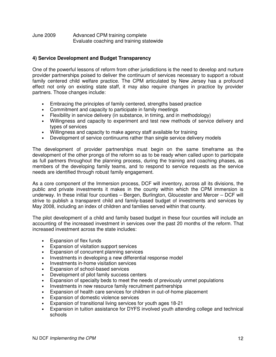#### June 2009 Advanced CPM training complete Evaluate coaching and training statewide

#### **4) Service Development and Budget Transparency**

One of the powerful lessons of reform from other jurisdictions is the need to develop and nurture provider partnerships poised to deliver the continuum of services necessary to support a robust family centered child welfare practice. The CPM articulated by New Jersey has a profound effect not only on existing state staff, it may also require changes in practice by provider partners. Those changes include:

- Embracing the principles of family centered, strengths based practice
- Commitment and capacity to participate in family meetings
- Flexibility in service delivery (in substance, in timing, and in methodology)
- Willingness and capacity to experiment and test new methods of service delivery and types of services
- Willingness and capacity to make agency staff available for training
- Development of service continuums rather than single service delivery models

The development of provider partnerships must begin on the same timeframe as the development of the other prongs of the reform so as to be ready when called upon to participate as full partners throughout the planning process, during the training and coaching phases, as members of the developing family teams, and to respond to service requests as the service needs are identified through robust family engagement.

As a core component of the Immersion process, DCF will inventory, across all its divisions, the public and private investments it makes in the county within which the CPM immersion is underway. In these initial four counties – Bergen, Burlington, Gloucester and Mercer – DCF will strive to publish a transparent child and family-based budget of investments and services by May 2008, including an index of children and families served within that county.

The pilot development of a child and family based budget in these four counties will include an accounting of the increased investment in services over the past 20 months of the reform. That increased investment across the state includes:

- Expansion of flex funds
- Expansion of visitation support services
- Expansion of concurrent planning services
- Investments in developing a new differential response model
- Investments in-home visitation services
- Expansion of school-based services
- Development of pilot family success centers
- Expansion of specialty beds to meet the needs of previously unmet populations
- Investments in new resource family recruitment partnerships
- Expansion of health care services for children in out-of-home placement
- Expansion of domestic violence services
- Expansion of transitional living services for youth ages 18-21
- Expansion in tuition assistance for DYFS involved youth attending college and technical schools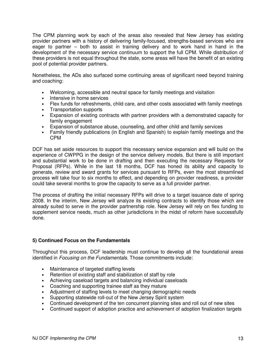The CPM planning work by each of the areas also revealed that New Jersey has existing provider partners with a history of delivering family-focused, strengths-based services who are eager to partner – both to assist in training delivery and to work hand in hand in the development of the necessary service continuum to support the full CPM. While distribution of these providers is not equal throughout the state, some areas will have the benefit of an existing pool of potential provider partners.

Nonetheless, the ADs also surfaced some continuing areas of significant need beyond training and coaching:

- Welcoming, accessible and neutral space for family meetings and visitation
- Intensive in home services
- Flex funds for refreshments, child care, and other costs associated with family meetings
- Transportation supports
- Expansion of existing contracts with partner providers with a demonstrated capacity for family engagement
- Expansion of substance abuse, counseling, and other child and family services
- Family friendly publications (in English and Spanish) to explain family meetings and the CPM

DCF has set aside resources to support this necessary service expansion and will build on the experience of CWPPG in the design of the service delivery models. But there is still important and substantial work to be done in drafting and then executing the necessary Requests for Proposal (RFPs). While in the last 18 months, DCF has honed its ability and capacity to generate, review and award grants for services pursuant to RFPs, even the most streamlined process will take four to six months to effect, and depending on provider readiness, a provider could take several months to grow the capacity to serve as a full provider partner.

The process of drafting the initial necessary RFPs will drive to a target issuance date of spring 2008. In the interim, New Jersey will analyze its existing contracts to identify those which are already suited to serve in the provider partnership role. New Jersey will rely on flex funding to supplement service needs, much as other jurisdictions in the midst of reform have successfully done.

#### **5) Continued Focus on the Fundamentals**

Throughout this process, DCF leadership must continue to develop all the foundational areas identified in *Focusing on the Fundamentals*. Those commitments include:

- Maintenance of targeted staffing levels
- Retention of existing staff and stabilization of staff by role
- Achieving caseload targets and balancing individual caseloads
- Coaching and supporting trainee staff as they mature
- Adjustment of staffing levels to meet changing demographic needs
- Supporting statewide roll-out of the New Jersey Spirit system
- Continued development of the ten concurrent planning sites and roll out of new sites
- Continued support of adoption practice and achievement of adoption finalization targets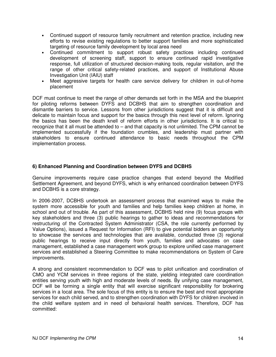- Continued support of resource family recruitment and retention practice, including new efforts to revise existing regulations to better support families and more sophisticated targeting of resource family development by local area need
- Continued commitment to support robust safety practices including continued development of screening staff, support to ensure continued rapid investigative response, full utilization of structured decision-making tools, regular visitation, and the range of other critical safety-related practices, and support of Institutional Abuse Investigation Unit (IAIU) staff
- Meet aggressive targets for health care service delivery for children in out-of-home placement

DCF must continue to meet the range of other demands set forth in the MSA and the blueprint for piloting reforms between DYFS and DCBHS that aim to strengthen coordination and dismantle barriers to service. Lessons from other jurisdictions suggest that it is difficult and delicate to maintain focus and support for the basics through this next level of reform. Ignoring the basics has been the death knell of reform efforts in other jurisdictions. It is critical to recognize that it all must be attended to – and that capacity is not unlimited. The CPM cannot be implemented successfully if the foundation crumbles, and leadership must partner with stakeholders to ensure continued attendance to basic needs throughout the CPM implementation process.

#### **6) Enhanced Planning and Coordination between DYFS and DCBHS**

Genuine improvements require case practice changes that extend beyond the Modified Settlement Agreement, and beyond DYFS, which is why enhanced coordination between DYFS and DCBHS is a core strategy.

In 2006-2007, DCBHS undertook an assessment process that examined ways to make the system more accessible for youth and families and help families keep children at home, in school and out of trouble. As part of this assessment, DCBHS held nine (9) focus groups with key stakeholders and three (3) public hearings to gather to ideas and recommendations for restructuring of the Contracted System Administrator (CSA, the role currently performed by Value Options), issued a Request for Information (RFI) to give potential bidders an opportunity to showcase the services and technologies that are available, conducted three (3) regional public hearings to receive input directly from youth, families and advocates on case management, established a case management work group to explore unified case management services and established a Steering Committee to make recommendations on System of Care improvements.

A strong and consistent recommendation to DCF was to pilot unification and coordination of CMO and YCM services in three regions of the state, yielding integrated care coordination entities serving youth with high and moderate levels of needs. By unifying case management, DCF will be forming a single entity that will exercise significant responsibility for brokering services in a local area. The sole focus of this entity is to ensure the best and most appropriate services for each child served, and to strengthen coordination with DYFS for children involved in the child welfare system and in need of behavioral health services. Therefore, DCF has committed: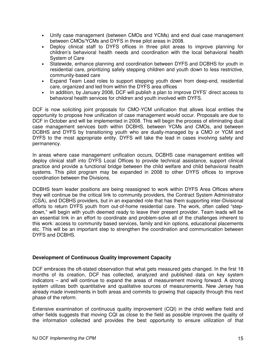- Unify case management (between CMOs and YCMs) and end dual case management between CMOs/YCMs and DYFS in three pilot areas in 2008.
- Deploy clinical staff to DYFS offices in three pilot areas to improve planning for children's behavioral health needs and coordination with the local behavioral health System of Care
- Statewide, enhance planning and coordination between DYFS and DCBHS for youth in residential care, prioritizing safely stepping children and youth down to less restrictive, community-based care
- Expand Team Lead roles to support stepping youth down from deep-end, residential care, organized and led from within the DYFS area offices
- In addition, by January 2008, DCF will publish a plan to improve DYFS' direct access to behavioral health services for children and youth involved with DYFS.

DCF is now soliciting joint proposals for CMO-YCM unification that allows local entities the opportunity to propose how unification of case management would occur. Proposals are due to DCF in October and will be implemented in 2008. This will begin the process of eliminating dual case management services both within DCBHS, between YCMs and CMOs, and between DCBHS and DYFS by transitioning youth who are dually-managed by a CMO or YCM and DYFS to the most appropriate entity. DYFS will take the lead in cases involving safety and permanency.

In areas where case management unification occurs, DCBHS case management entities will deploy clinical staff into DYFS Local Offices to provide technical assistance, support clinical practice and provide a functional bridge between the child welfare and child behavioral health systems. This pilot program may be expanded in 2008 to other DYFS offices to improve coordination between the Divisions.

DCBHS team leader positions are being reassigned to work within DYFS Area Offices where they will continue be the critical link to community providers, the Contract System Administrator (CSA), and DCBHS providers, but in an expanded role that has them supporting inter-Divisional efforts to return DYFS youth from out-of-home residential care. The work, often called "stepdown," will begin with youth deemed ready to leave their present provider. Team leads will be an essential link in an effort to coordinate and problem-solve all of the challenges inherent to this work: access to community based services, family and kin options, educational placements etc. This will be an important step to strengthen the coordination and communication between DYFS and DCBHS.

#### **Development of Continuous Quality Improvement Capacity**

DCF embraces the oft-stated observation that what gets measured gets changed. In the first 18 months of its creation, DCF has collected, analyzed and published data on key system indicators – and will continue to expand the areas of measurement moving forward. A strong system utilizes both quantitative and qualitative sources of measurements. New Jersey has already made investments in both areas and commits to growing that capacity through this next phase of the reform.

Extensive examination of continuous quality improvement (CQI) in the child welfare field and other fields suggests that moving CQI as close to the field as possible improves the quality of the information collected and provides the best opportunity to ensure utilization of that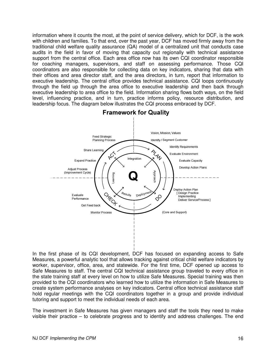information where it counts the most, at the point of service delivery, which for DCF, is the work with children and families. To that end, over the past year, DCF has moved firmly away from the traditional child welfare quality assurance (QA) model of a centralized unit that conducts case audits in the field in favor of moving that capacity out regionally with technical assistance support from the central office. Each area office now has its own CQI coordinator responsible for coaching managers, supervisors, and staff on assessing performance. Those CQI coordinators are also responsible for collecting data on key indicators, sharing that data with their offices and area director staff, and the area directors, in turn, report that information to executive leadership. The central office provides technical assistance. CQI loops continuously through the field up through the area office to executive leadership and then back through executive leadership to area office to the field. Information sharing flows both ways, on the field level, influencing practice, and in turn, practice informs policy, resource distribution, and leadership focus. The diagram below illustrates the CQI process embraced by DCF.



**Framework for Quality** 

In the first phase of its CQI development, DCF has focused on expanding access to Safe Measures, a powerful analytic tool that allows tracking against critical child welfare indicators by worker, supervisor, office, area, and statewide. For the first time, DCF opened up access to Safe Measures to staff. The central CQI technical assistance group traveled to every office in the state training staff at every level on how to utilize Safe Measures. Special training was then provided to the CQI coordinators who learned how to utilize the information in Safe Measures to create system performance analyses on key indicators. Central office technical assistance staff hold regular meetings with the CQI coordinators together in a group and provide individual tutoring and support to meet the individual needs of each area.

The investment in Safe Measures has given managers and staff the tools they need to make visible their practice – to celebrate progress and to identify and address challenges. The end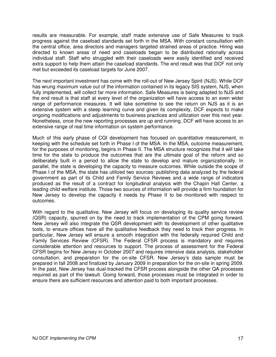results are measurable. For example, staff made extensive use of Safe Measures to track progress against the caseload standards set forth in the MSA. With constant consultation with the central office, area directors and managers targeted strained areas of practice. Hiring was directed to known areas of need and caseloads began to be distributed rationally across individual staff. Staff who struggled with their caseloads were easily identified and received extra support to help them attain the caseload standards. The end result was that DCF not only met but exceeded its caseload targets for June 2007.

The next important investment has come with the roll-out of New Jersey Spirit (NJS). While DCF has wrung maximum value out of the information contained in its legacy SIS system, NJS, when fully implemented, will collect far more information. Safe Measures is being adapted to NJS and the end result is that staff at every level of the organization will have access to an even wider range of performance measures. It will take sometime to see the return on NJS as it is an extensive system with a steep learning curve and given its complexity, DCF expects to make ongoing modifications and adjustments to business practices and utilization over this next year. Nonetheless, once the new reporting processes are up and running, DCF will have access to an extensive range of real time information on system performance.

Much of this early phase of CQI development has focused on quantitative measurement, in keeping with the schedule set forth in Phase I of the MSA. In the MSA, outcome measurement, for the purposes of monitoring, begins in Phase II. The MSA structure recognizes that it will take time for the state to produce the outcomes that are the ultimate goal of the reform and so deliberately built in a period to allow the state to develop and mature organizationally. In parallel, the state is developing the capacity to measure outcomes. While outside the scope of Phase I of the MSA, the state has utilized two sources: publishing data analyzed by the federal government as part of its Child and Family Service Reviews and a wide range of indicators produced as the result of a contract for longitudinal analysis with the Chapin Hall Center, a leading child welfare institute. Those two sources of information will provide a firm foundation for New Jersey to develop the capacity it needs by Phase II to be monitored with respect to outcomes.

With regard to the qualitative, New Jersey will focus on developing its quality service review (QSR) capacity, spurred on by the need to track implementation of the CPM going forward. New Jersey will also integrate the QSR development with its development of other qualitative tools, to ensure offices have all the qualitative feedback they need to track their progress. In particular, New Jersey will ensure a smooth integration with the federally required Child and Family Services Review (CFSR). The Federal CFSR process is mandatory and requires considerable attention and resources to support. The process of assessment for the Federal CFSR begins for New Jersey in October 2007 and requires intensive data analysis, stakeholder consultation, and preparation for the on-site CFSR. New Jersey's data sample must be prepared in fall 2008 and finalized by January 2009 in preparation for the on-site in spring 2009. In the past, New Jersey has dual-tracked the CFSR process alongside the other QA processes required as part of the lawsuit. Going forward, those processes must be integrated in order to ensure there are sufficient resources and attention paid to both important processes.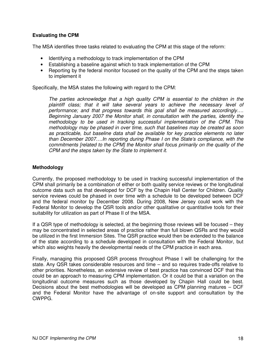#### **Evaluating the CPM**

The MSA identifies three tasks related to evaluating the CPM at this stage of the reform:

- Identifying a methodology to track implementation of the CPM
- Establishing a baseline against which to track implementation of the CPM
- Reporting by the federal monitor focused on the quality of the CPM and the steps taken to implement it

Specifically, the MSA states the following with regard to the CPM:

*The parties acknowledge that a high quality CPM is essential to the children in the plaintiff class; that it will take several years to achieve the necessary level of performance; and that progress towards this goal shall be measured accordingly…. Beginning January 2007 the Monitor shall, in consultation with the parties, identify the methodology to be used in tracking successful implementation of the CPM. This methodology may be phased in over time, such that baselines may be created as soon as practicable, but baseline data shall be available for key practice elements no later than December 2007….In reporting during Phase I on the State's compliance, with the commitments [related to the CPM] the Monitor shall focus primarily on the quality of the CPM and the steps taken by the State to implement it.*

#### **Methodology**

Currently, the proposed methodology to be used in tracking successful implementation of the CPM shall primarily be a combination of either or both quality service reviews or the longitudinal outcome data such as that developed for DCF by the Chapin Hall Center for Children. Quality service reviews could be phased in over time with a schedule to be developed between DCF and the federal monitor by December 2008. During 2008, New Jersey could work with the Federal Monitor to develop the QSR tools and/or other qualitative or quantitative tools for their suitability for utilization as part of Phase II of the MSA.

If a QSR type of methodology is selected, at the beginning those reviews will be focused – they may be concentrated in selected areas of practice rather than full blown QSRs and they would be utilized in the first Immersion Sites. The QSR practice would then be extended to the balance of the state according to a schedule developed in consultation with the Federal Monitor, but which also weights heavily the developmental needs of the CPM practice in each area.

Finally, managing this proposed QSR process throughout Phase I will be challenging for the state. Any QSR takes considerable resources and time – and so requires trade-offs relative to other priorities. Nonetheless, an extensive review of best practice has convinced DCF that this could be an approach to measuring CPM implementation. Or it could be that a variation on the longitudinal outcome measures such as those developed by Chapin Hall could be best. Decisions about the best methodologies will be developed as CPM planning matures – DCF and the Federal Monitor have the advantage of on-site support and consultation by the CWPPG.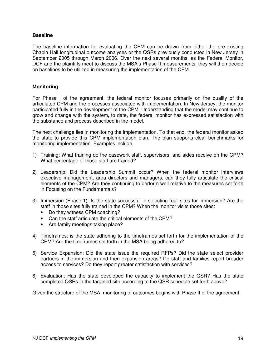#### **Baseline**

The baseline information for evaluating the CPM can be drawn from either the pre-existing Chapin Hall longitudinal outcome analyses or the QSRs previously conducted in New Jersey in September 2005 through March 2006. Over the next several months, as the Federal Monitor, DCF and the plaintiffs meet to discuss the MSA's Phase II measurements, they will then decide on baselines to be utilized in measuring the implementation of the CPM.

#### **Monitoring**

For Phase I of the agreement, the federal monitor focuses primarily on the quality of the articulated CPM and the processes associated with implementation. In New Jersey, the monitor participated fully in the development of the CPM. Understanding that the model may continue to grow and change with the system, to date, the federal monitor has expressed satisfaction with the substance and process described in the model.

The next challenge lies in monitoring the implementation. To that end, the federal monitor asked the state to provide this CPM implementation plan. The plan supports clear benchmarks for monitoring implementation. Examples include:

- 1) Training: What training do the casework staff, supervisors, and aides receive on the CPM? What percentage of those staff are trained?
- 2) Leadership: Did the Leadership Summit occur? When the federal monitor interviews executive management, area directors and managers, can they fully articulate the critical elements of the CPM? Are they continuing to perform well relative to the measures set forth in Focusing on the Fundamentals?
- 3) Immersion (Phase 1): Is the state successful in selecting four sites for immersion? Are the staff in those sites fully trained in the CPM? When the monitor visits those sites:
	- Do they witness CPM coaching?
	- Can the staff articulate the critical elements of the CPM?
	- Are family meetings taking place?
- 4) Timeframes: is the state adhering to the timeframes set forth for the implementation of the CPM? Are the timeframes set forth in the MSA being adhered to?
- 5) Service Expansion: Did the state issue the required RFPs? Did the state select provider partners in the immersion and then expansion areas? Do staff and families report broader access to services? Do they report greater satisfaction with services?
- 6) Evaluation: Has the state developed the capacity to implement the QSR? Has the state completed QSRs in the targeted site according to the QSR schedule set forth above?

Given the structure of the MSA, monitoring of outcomes begins with Phase II of the agreement.